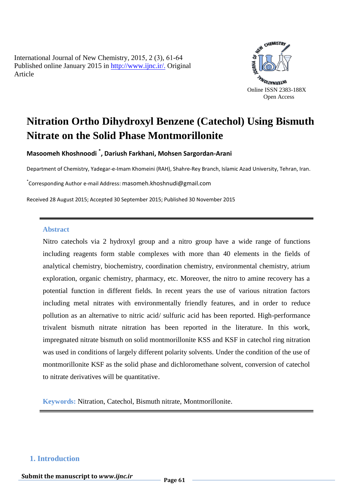International Journal of New Chemistry, 2015, 2 (3), 61-64 Published online January 2015 in [http://www.ijnc.ir/.](http://www.ijnc.ir/) Original Article



# **Nitration Ortho Dihydroxyl Benzene (Catechol) Using Bismuth Nitrate on the Solid Phase Montmorillonite**

**Masoomeh Khoshnoodi \* , Dariush Farkhani, Mohsen Sargordan-Arani** 

Department of Chemistry, Yadegar-e-Imam Khomeini (RAH), Shahre-Rey Branch, Islamic Azad University, Tehran, Iran.

\* Corresponding Author e-mail Address: masomeh.khoshnudi@gmail.com

Received 28 August 2015; Accepted 30 September 2015; Published 30 November 2015

#### **Abstract**

Nitro catechols via 2 hydroxyl group and a nitro group have a wide range of functions including reagents form stable complexes with more than 40 elements in the fields of analytical chemistry, biochemistry, coordination chemistry, environmental chemistry, atrium exploration, organic chemistry, pharmacy, etc. Moreover, the nitro to amine recovery has a potential function in different fields. In recent years the use of various nitration factors including metal nitrates with environmentally friendly features, and in order to reduce pollution as an alternative to nitric acid/ sulfuric acid has been reported. High-performance trivalent bismuth nitrate nitration has been reported in the literature. In this work, impregnated nitrate bismuth on solid montmorillonite KSS and KSF in catechol ring nitration was used in conditions of largely different polarity solvents. Under the condition of the use of montmorillonite KSF as the solid phase and dichloromethane solvent, conversion of catechol to nitrate derivatives will be quantitative.

**Keywords:** Nitration, Catechol, Bismuth nitrate, Montmorillonite.

#### **1. Introduction**

**Submit the manuscript to** *www.ijnc.ir* Page 61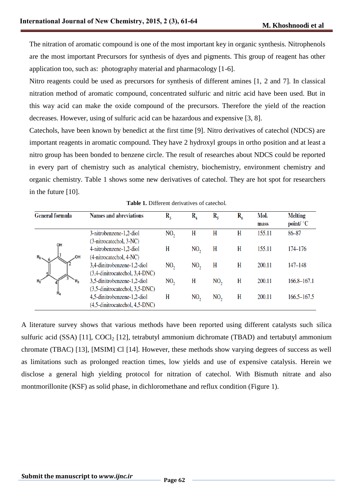The nitration of aromatic compound is one of the most important key in organic synthesis. Nitrophenols are the most important Precursors for synthesis of dyes and pigments. This group of reagent has other application too, such as: photography material and pharmacology [1-6].

Nitro reagents could be used as precursors for synthesis of different amines [1, 2 and 7]. In classical nitration method of aromatic compound, concentrated sulfuric and nitric acid have been used. But in this way acid can make the oxide compound of the precursors. Therefore the yield of the reaction decreases. However, using of sulfuric acid can be hazardous and expensive [3, 8].

Catechols, have been known by benedict at the first time [9]. Nitro derivatives of catechol (NDCS) are important reagents in aromatic compound. They have 2 hydroxyl groups in ortho position and at least a nitro group has been bonded to benzene circle. The result of researches about NDCS could be reported in every part of chemistry such as analytical chemistry, biochemistry, environment chemistry and organic chemistry. Table 1 shows some new derivatives of catechol. They are hot spot for researchers in the future [10].

| <b>General formula</b> | <b>Names and abreviations</b>                                 | $R_{3}$         | $\rm R_{_4}$    | $R_{5}$         | $R_6$ | Mol.<br>mass | <b>Melting</b><br>point/ $^{\circ}$ C |
|------------------------|---------------------------------------------------------------|-----------------|-----------------|-----------------|-------|--------------|---------------------------------------|
|                        | 3-nitrobenzene-1,2-diol<br>(3-nitrocatechol, 3-NC)            | NO <sub>2</sub> | H               | H               | H     | 155.11       | 86-87                                 |
| OH<br>$R_6$            | 4-nitrobenzene-1,2-diol<br>(4-nitrocatechol, 4-NC)            | H               | NO <sub>2</sub> | H               | H     | 155.11       | 174–176                               |
|                        | 3,4-dinitrobenzene-1,2-diol<br>(3,4-dinitrocatechol, 3,4-DNC) | NO <sub>2</sub> | NO <sub>2</sub> | H               | H     | 200.11       | 147–148                               |
|                        | 3,5-dinitrobenzene-1,2-diol<br>(3,5-dinitrocatechol, 3,5-DNC) | NO <sub>2</sub> | H               | NO <sub>2</sub> | H     | 200.11       | 166.8–167.1                           |
| R,                     | 4,5-dinitrobenzene-1,2-diol<br>(4,5-dinitrocatechol, 4,5-DNC) | H               | NO,             | NO <sub>2</sub> | H     | 200.11       | 166.5–167.5                           |

**Table 1.** Different derivatives of catechol.

A literature survey shows that various methods have been reported using different catalysts such silica sulfuric acid (SSA) [11],  $COCl<sub>2</sub>$  [12], tetrabutyl ammonium dichromate (TBAD) and tertabutyl ammonium chromate (TBAC) [13], [MSIM] Cl [14]. However, these methods show varying degrees of success as well as limitations such as prolonged reaction times, low yields and use of expensive catalysis. Herein we disclose a general high yielding protocol for nitration of catechol. With Bismuth nitrate and also montmorillonite (KSF) as solid phase, in dichloromethane and reflux condition (Figure 1).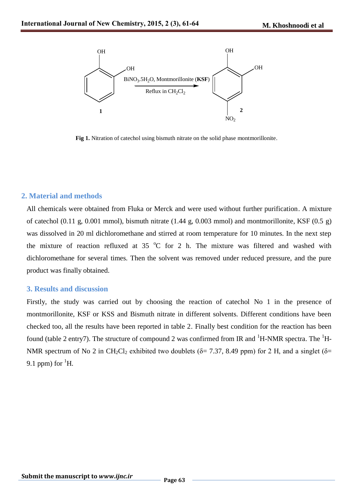

**Fig 1.** Nitration of catechol using bismuth nitrate on the solid phase montmorillonite.

## **2. Material and methods**

All chemicals were obtained from Fluka or Merck and were used without further purification. A mixture of catechol (0.11 g, 0.001 mmol), bismuth nitrate (1.44 g, 0.003 mmol) and montmorillonite, KSF (0.5 g) was dissolved in 20 ml dichloromethane and stirred at room temperature for 10 minutes. In the next step the mixture of reaction refluxed at 35  $^{\circ}$ C for 2 h. The mixture was filtered and washed with dichloromethane for several times. Then the solvent was removed under reduced pressure, and the pure product was finally obtained.

#### **3. Results and discussion**

Firstly, the study was carried out by choosing the reaction of catechol No 1 in the presence of montmorillonite, KSF or KSS and Bismuth nitrate in different solvents. Different conditions have been checked too, all the results have been reported in table 2. Finally best condition for the reaction has been found (table 2 entry7). The structure of compound 2 was confirmed from IR and  ${}^{1}H$ -NMR spectra. The  ${}^{1}H$ -NMR spectrum of No 2 in CH<sub>2</sub>Cl<sub>2</sub> exhibited two doublets ( $\delta$ = 7.37, 8.49 ppm) for 2 H, and a singlet ( $\delta$ = 9.1 ppm) for  $\mathrm{^1H}$ .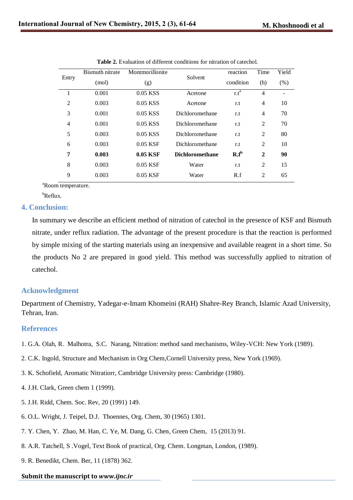| Entry          | <b>Bismuth nitrate</b> | Montmorillonite | Solvent                | reaction         | Time           | Yield |
|----------------|------------------------|-----------------|------------------------|------------------|----------------|-------|
|                | (mol)                  | (g)             |                        | condition        | (h)            | (% )  |
|                | 0.001                  | 0.05 KSS        | Acetone                | r.t <sup>a</sup> | 4              |       |
| $\overline{2}$ | 0.003                  | 0.05 KSS        | Acetone                | r.t              | 4              | 10    |
| 3              | 0.001                  | $0.05$ KSS      | Dichloromethane        | r.t              | 4              | 70    |
| 4              | 0.001                  | 0.05 KSS        | Dichloromethane        | r.t              | 2              | 70    |
| 5              | 0.003                  | $0.05$ KSS      | Dichloromethane        | r.t              | 2              | 80    |
| 6              | 0.003                  | $0.05$ KSF      | Dichloromethane        | r.t              | 2              | 10    |
| 7              | 0.003                  | $0.05$ KSF      | <b>Dichloromethane</b> | $R.f^b$          | $\mathbf{2}$   | 90    |
| 8              | 0.003                  | $0.05$ KSF      | Water                  | r.t              | 2              | 15    |
| 9              | 0.003                  | $0.05$ KSF      | Water                  | R.f              | $\mathfrak{D}$ | 65    |

| <b>Table 2.</b> Evaluation of different conditions for nitration of catechol. |  |  |  |
|-------------------------------------------------------------------------------|--|--|--|
|-------------------------------------------------------------------------------|--|--|--|

<sup>a</sup>Room temperature.

 $b$ Reflux.

## **4. Conclusion:**

In summary we describe an efficient method of nitration of catechol in the presence of KSF and Bismuth nitrate, under reflux radiation. The advantage of the present procedure is that the reaction is performed by simple mixing of the starting materials using an inexpensive and available reagent in a short time. So the products No 2 are prepared in good yield. This method was successfully applied to nitration of catechol.

# **Acknowledgment**

Department of Chemistry, Yadegar-e-Imam Khomeini (RAH) Shahre-Rey Branch, Islamic Azad University, Tehran, Iran.

# **References**

- 1. G.A. Olah, R. Malhotra, S.C. Narang, Nitration: method sand mechanisms, Wiley-VCH: New York (1989).
- 2. C.K. Ingold, Structure and Mechanism in Org Chem,Cornell University press, New York (1969).
- 3. K. Schofield, Aromatic Nitratiorr, Cambridge University press: Cambridge (1980).
- 4. J.H. Clark, Green chem 1 (1999).
- 5. J.H. Ridd, Chem. Soc. Rev, 20 (1991) 149.
- 6. O.L. Wright, J. Teipel, D.J. Thoennes, Org. Chem, 30 (1965) 1301.
- 7. Y. Chen, Y. Zhao, M. Han, C. Ye, M. Dang, G. Chen, Green Chem, 15 (2013) 91.
- 8. A.R. Tatchell, S .Vogel, Text Book of practical, Org. Chem. Longman, London, (1989).
- 9. R. Benedikt, Chem. Ber, 11 (1878) 362.

#### **Submit the manuscript to** *www.ijnc.ir*